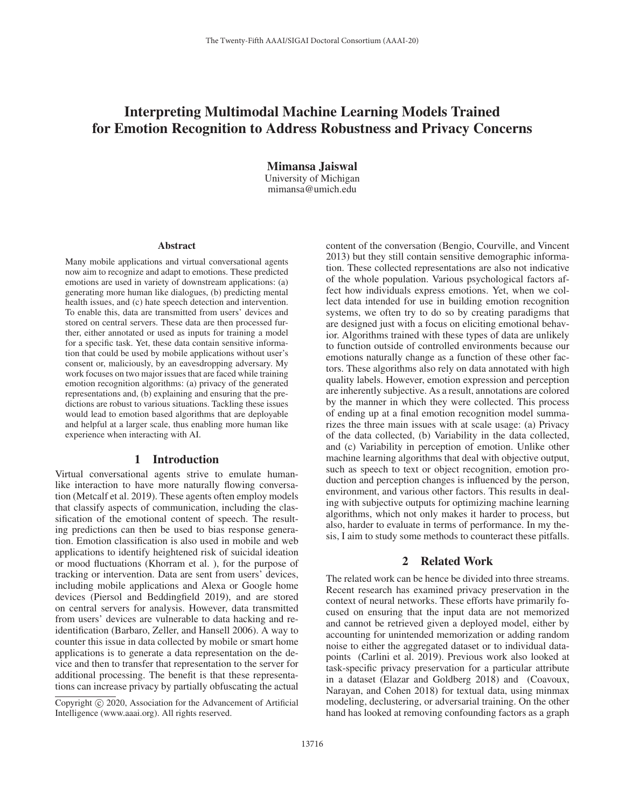# Interpreting Multimodal Machine Learning Models Trained for Emotion Recognition to Address Robustness and Privacy Concerns

Mimansa Jaiswal University of Michigan mimansa@umich.edu

#### Abstract

Many mobile applications and virtual conversational agents now aim to recognize and adapt to emotions. These predicted emotions are used in variety of downstream applications: (a) generating more human like dialogues, (b) predicting mental health issues, and (c) hate speech detection and intervention. To enable this, data are transmitted from users' devices and stored on central servers. These data are then processed further, either annotated or used as inputs for training a model for a specific task. Yet, these data contain sensitive information that could be used by mobile applications without user's consent or, maliciously, by an eavesdropping adversary. My work focuses on two major issues that are faced while training emotion recognition algorithms: (a) privacy of the generated representations and, (b) explaining and ensuring that the predictions are robust to various situations. Tackling these issues would lead to emotion based algorithms that are deployable and helpful at a larger scale, thus enabling more human like experience when interacting with AI.

#### 1 Introduction

Virtual conversational agents strive to emulate humanlike interaction to have more naturally flowing conversation (Metcalf et al. 2019). These agents often employ models that classify aspects of communication, including the classification of the emotional content of speech. The resulting predictions can then be used to bias response generation. Emotion classification is also used in mobile and web applications to identify heightened risk of suicidal ideation or mood fluctuations (Khorram et al. ), for the purpose of tracking or intervention. Data are sent from users' devices, including mobile applications and Alexa or Google home devices (Piersol and Beddingfield 2019), and are stored on central servers for analysis. However, data transmitted from users' devices are vulnerable to data hacking and reidentification (Barbaro, Zeller, and Hansell 2006). A way to counter this issue in data collected by mobile or smart home applications is to generate a data representation on the device and then to transfer that representation to the server for additional processing. The benefit is that these representations can increase privacy by partially obfuscating the actual

content of the conversation (Bengio, Courville, and Vincent 2013) but they still contain sensitive demographic information. These collected representations are also not indicative of the whole population. Various psychological factors affect how individuals express emotions. Yet, when we collect data intended for use in building emotion recognition systems, we often try to do so by creating paradigms that are designed just with a focus on eliciting emotional behavior. Algorithms trained with these types of data are unlikely to function outside of controlled environments because our emotions naturally change as a function of these other factors. These algorithms also rely on data annotated with high quality labels. However, emotion expression and perception are inherently subjective. As a result, annotations are colored by the manner in which they were collected. This process of ending up at a final emotion recognition model summarizes the three main issues with at scale usage: (a) Privacy of the data collected, (b) Variability in the data collected, and (c) Variability in perception of emotion. Unlike other machine learning algorithms that deal with objective output, such as speech to text or object recognition, emotion production and perception changes is influenced by the person, environment, and various other factors. This results in dealing with subjective outputs for optimizing machine learning algorithms, which not only makes it harder to process, but also, harder to evaluate in terms of performance. In my thesis, I aim to study some methods to counteract these pitfalls.

# 2 Related Work

The related work can be hence be divided into three streams. Recent research has examined privacy preservation in the context of neural networks. These efforts have primarily focused on ensuring that the input data are not memorized and cannot be retrieved given a deployed model, either by accounting for unintended memorization or adding random noise to either the aggregated dataset or to individual datapoints (Carlini et al. 2019). Previous work also looked at task-specific privacy preservation for a particular attribute in a dataset (Elazar and Goldberg 2018) and (Coavoux, Narayan, and Cohen 2018) for textual data, using minmax modeling, declustering, or adversarial training. On the other hand has looked at removing confounding factors as a graph

Copyright  $\odot$  2020, Association for the Advancement of Artificial Intelligence (www.aaai.org). All rights reserved.